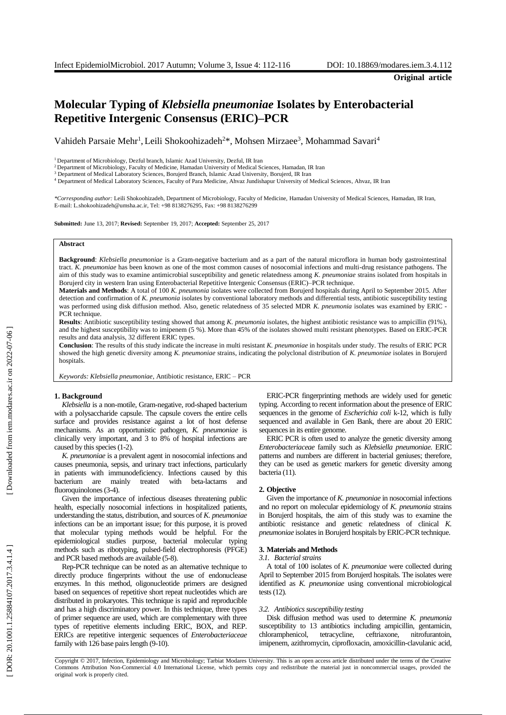**Original article**

# **Molecular Typing of** *Klebsiella pneumoniae* **Isolates by Enterobacterial Repetitive Intergenic Consensus (ERIC) –PCR**

Vahideh Parsaie Mehr<sup>1</sup>, Leili Shokoohizadeh<sup>2\*</sup>, Mohsen Mirzaee<sup>3</sup>, Mohammad Savari<sup>4</sup>

<sup>1</sup> Department of Microbiology, Dezful branch, Islamic Azad University, Dezful, IR Iran

<sup>2</sup> Department of Microbiology, Faculty of Medicine, Hamadan University of Medical Sciences, Hamadan, IR Iran

<sup>3</sup> Department of Medical Laboratory Sciences, Borujerd Branch, Islamic Azad University, Borujerd, IR Iran

<sup>4</sup> Department of Medical Laboratory Sciences, Faculty of Para Medicine, Ahvaz Jundishapur University of Medical Sciences, Ahvaz, IR Iran

\*Corresponding author: Leili Shokoohizadeh, Department of Microbiology, Faculty of Medicine, Hamadan University of Medical Sciences, Hamadan, IR Iran,<br>E-mail: L.shokoohizadeh@umsha.ac.ir, Tel: +98 8138276295, Fax: +98 8138

**Submitted:** June 13, 2017; **Revised:** September 19, 2017; **Accepted:** September 25, 2017

#### **Abstract**

Background: *Klebsiella pneumoniae* is a Gram-negative bacterium and as a part of the natural microflora in human body gastrointestinal tract. *K. pneumoniae* has been known as one of the most common causes of nosocomial infections and multi -drug resistance pathogens. The aim of this study was to examine antimicrobial susceptibility and genetic relatedness among K. pneumoniae strains isolated from hospitals in Borujerd city in western Iran using Enterobacterial Repetitive Intergenic Consens

**Materials and Methods**: A total of 100 *K. pneumonia* isolates were collected from Borujerd hospitals during April to September 2015. After detection and confirmation of *K. pneumonia* isolates by conventional laboratory methods and differential tests, antibiotic susceptibility testing was performed using disk diffusion method. Also, genetic relatedness of 35 selected MDR *K. pneumonia* isolates was examined by ERIC - PCR technique.

**Results**: Antibiotic susceptibility testing showed that among *K. pneumonia* isolates, the highest antibiotic resistance was to ampicillin (91%), and the highest susceptibility was to imipenem (5 %). More than 45% of the isolates showed multi resistant phenotypes. Based on ERIC -PCR results and data analysis, 32 different ERIC types .

**Conclusion**: The results of this study indicate the increase in multi resistant *K. pneumoniae* in hospitals under study. The results of ERIC PCR showed the high genetic diversity among *K. pneumoniae* strains, indicating the polyclonal distribution of *K. pneumoniae* isolates in Borujerd hospitals.

*Keywords: Klebsiella pneumoniae*, Antibiotic resistance, ERIC – PCR

#### **1 . Background**

Klebsiella is a non-motile, Gram-negative, rod-shaped bacterium with a polysaccharide capsule. The capsule covers the entire cells surface and provides resistance against a lot of host defense mechanisms. As an opportunistic pathogen, *K. pneumoniae* is clinically very important , and 3 to 8% of hospital infections are caused by this species (1 -2).

*K. pneumoniae* is a prevalent agent in nosocomial infections and causes pneumonia, sepsis, and urinary tract infections , particularly in patients with immunodeficiency. Infections caused by this bacterium are mainly treated with beta -lactams and fluoroquinolones (3-4).

Given the importance of infectious diseases threatening public health, especially nosocomial infections in hospitalized patients, understanding the status, distribution, and source s of *K. pneumoniae* infection s can be an important issue ; for this purpose, it is proved that molecular typing methods would be helpful . For the epidemiological studies purpose , bacterial molecular typing methods such as ribotyping, pulsed -field electrophoresis (PFGE) and PCR based methods are available (5 -8).

Rep -PCR technique can be noted as an alternative technique to directly produce fingerprints without the use of endonuclease enzymes. In this method, oligonucleotide primers are designed based on sequences of repetitive short repeat nucleotides which are distributed in prokaryotes. This technique is rapid and reproducible and has a high discriminatory power . In this technique, three types of primer sequence are used , which are complementary with three types of repetitive elements including ERIC, BOX , and REP. ERICs are repetitive intergenic sequences of *Enterobacteriaceae* family with 126 base pairs length (9-10).

ERIC -PCR fingerprinting methods are widely used for genetic typing. According to recent information about the presence of ERIC sequences in the genome of *Escherichia coli* k -12, which is fully sequenced and available in Gen Bank, there are about 20 ERIC sequences in its entire genome.

ERIC PCR is often used to analyze the genetic diversity among *Enterobacteriaceae* family such a s *Klebsiella pneumoniae*. ERIC patterns and numbers are different in bacterial geniuses; therefore, they can be used as genetic markers for genetic diversity among bacteria (11).

#### **2. Objective**

Given the importance of *K. pneumoniae* in nosocomial infection s and no report o n molecular epidemiolog y of *K. pneumonia* strains in Borujerd hospitals, the aim of this study was to examine the antibiotic resistance and genetic relatedness of clinical *K. pneumoniae* isolates in Borujerd hospitals by ERIC -PCR technique.

## **3 . Materials and Methods**

#### *3.1 . Bacterial strains*

A total of 100 isolates of *K. pneumoniae* were collected during April to September 2015 from Borujerd hospitals. The isolates were identified as *K. pneumoniae* using conventional microbiological tests (12).

#### *3.2 . Antibiotics susceptibility testing*

Disk diffusion method was used to determine *K. pneumonia*  susceptibility to 13 antibiotics including ampicillin, gentamicin, chloramphenicol, tetracycline, ceftriaxone, nitrofurantoin, imipenem, azithromycin, ciprofloxacin, amoxicillin -clavulanic acid,

Copyright © 2017, Infection, Epidemiology and Microbiology; Tarbiat Modares University. This is an open access article distributed under the terms of the Creative Commons Attribution Non -Commercial 4.0 International License, which permits copy and redistribute the material just in noncommercial usages, provided the original work is properly cited .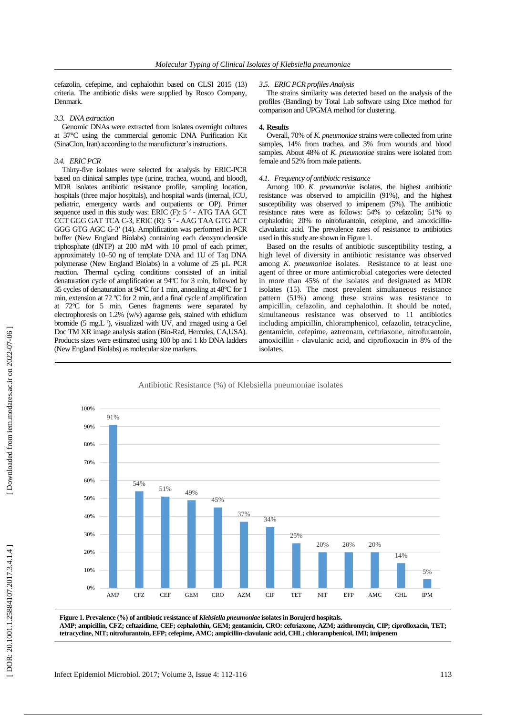cefazolin, cefepime , and cephalothin based on CLSI 2015 (13) criteria. The antibiotic disks were supplied by Rosco Company, Denmark.

## *3.3 . DNA extraction*

Genomic DNAs were extracted from isolates overnight cultures at 37°C using the commercial genomic DNA Purification Kit (SinaClon, Iran ) according to the manufacturer's instructions .

## *3.4 . ERIC PCR*

Thirty -five isolates were selected for analysis by ERIC -PCR based on clinical samples type (urine, trachea, wound , and blood), MDR isolates antibiotic resistance profile, sampling location, hospital s (three major hospitals) , and hospital wards (internal, ICU, pediatric, emergency wards and outpatients or OP). Primer sequence used in this study was: ERIC (F): 5' - ATG TAA GCT CCT GGG GAT TCA C -3, ERIC (R): 5 ʹ - AAG TAA GTG ACT GGG GTG AGC G-3' (14). Amplification was performed in PCR buffer (New England Biolabs) containing each deoxynucleoside triphosphate (dNTP) at 200 mM with  $10$  pmol of each primer, approximately 10–50 ng of template DNA and 1U of Taq DNA polymerase (New England Biolabs) in a volume of 25 µ L PCR reaction. Thermal cycling conditions consisted of an initial denaturation cycle of amplification at 94ºC for 3 min, followed by 35 cycles of denaturation at 94ºC for 1 min, annealing at 48ºC for 1 min, extension at 72 ºC for 2 min , and a final cycle of amplification at 72ºC for 5 min. Genes fragments were separated by electrophoresis on 1.2% (w/v) agarose gels, stained with ethidium bromide (5 mg.L<sup>-1</sup>), visualized with UV, and imaged using a Gel Doc TM XR image analysis station (Bio -Rad, Hercules, CA,USA). Product s sizes were estimated using 100 bp and 1 kb DNA ladders (New England Biolabs) as molecular size markers.

## *3.5 . ERIC PCR profiles Analysis*

The strains similarity was detected based on the analysis of the profiles (Banding) by Total Lab software using Dice method for comparison and UPGMA method for clustering .

## **4 . Results**

Overall, 70% of *K. pneumoniae* strains were collected from urine samples, 14% from trachea , and 3% from wounds and blood samples. About 48% of *K. pneumoniae* strains were isolated from female and 52% from male patients.

## *4.1 . Frequency of antibiotic resistance*

Among 100 *K. pneumoniae* isolates, the highest antibiotic resistance was observed to ampicillin (91%) , and the highest susceptibility was observed to imipenem ( 5%) . The antibiotic resistance rates were as follows: 54% to cefazolin ; 51% to cephalothin ; 20% to nitrofurantoin, cefepime , and amoxicillin clavulanic acid. The prevalence rates of resistance to antibiotics used in this study are shown in Figure 1.

Based on the results of antibiotic susceptibility testing, a high level of diversity in antibiotic resistance was observed among *K. pneumoniae* isolates*.* Resistance to at least one agent of three or more antimicrobial categories were detected in more than 45% of the isolates and designated as MDR isolates (15). The most prevalent simultaneous resistance pattern (51%) among these strains was resistance to ampicillin, cefazolin, and cephalothin. It should be noted, simultaneous resistance was observed to 11 antibiotics including ampicillin, chloramphenicol, cefazolin, tetracycline, gentamicin, cefepime, aztreonam, ceftriaxone, nitrofurantoin, amoxicillin - clavulanic acid , and ciprofloxacin in 8% of the isolates .



Figure 1. Prevalence (%) of antibiotic resistance of *Klebsiella pneumoniae* isolates in Borujerd hospitals. **AMP; ampicillin, CFZ; ceftazidime, CEF; cephalothin, GEM; gentamicin, CRO: ceftriaxone, AZM; azithromycin, CIP; ciprofloxacin, TET; tetracycline, NIT; nitrofurantoin, EFP; cefepime, AMC; ampicillin -clavulanic acid, CHL; chloramphenicol, IMI; imipenem**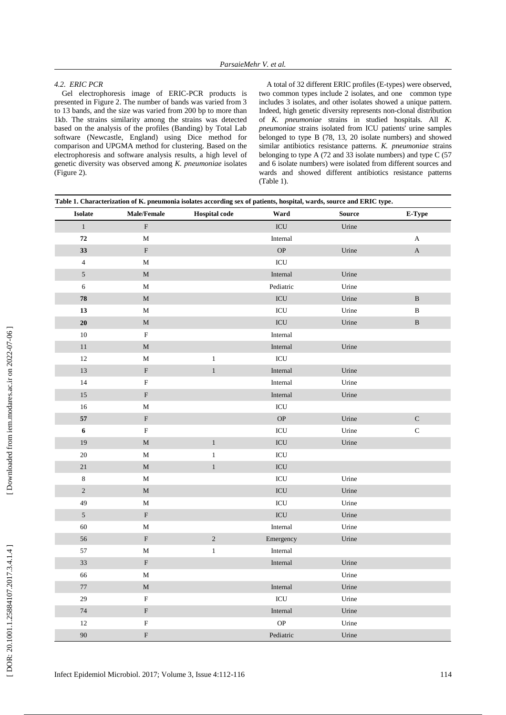## *4.2 . ERIC PCR*

Gel electrophoresis image of ERIC -PCR products is presented in Figure 2. The number of bands was varied from 3 to 13 band s, and the size was varied from 200 bp to more than 1kb. The strai ns similarity among the strains was detected based on the analysis of the profiles (Banding) by Total Lab software (Newcastle, England) using Dice method for comparison and UPGMA method for clustering. Based on the electrophoresis and software analysis results, a high level of genetic diversity was observed among *K. pneumoniae* isolates (Figure 2).

A total of 32 different ERIC profiles (E -types) were observed, two common types includ e 2 isolates , and one common type includes 3 isolates, and other isolates showed a unique pattern. Indeed, high genetic diversity represent s non -clonal distribution of *K. pneumoniae* strains in studied hospitals. All *K. pneumoniae* strains isolated from ICU patients' urine samples belonged to type B (78, 13, 20 isolate numbers ) and showed similar antibiotics resistance patterns. *K. pneumoniae* strains belonging to type A (72 and 33 isolate numbers) and type C (57 and 6 isolate numbers) were isolated from different sources and wards and showed different antibiotics resistance patterns (Table 1).

| <b>Isolate</b>           | <b>Male/Female</b>        | <b>Hospital</b> code | Ward          | <b>Source</b> | E-Type       |
|--------------------------|---------------------------|----------------------|---------------|---------------|--------------|
| $\,1$                    | $\mathbf F$               |                      | $\rm{ICU}$    | Urine         |              |
| 72                       | M                         |                      | Internal      |               | A            |
| 33                       | ${\bf F}$                 |                      | $\mathbf{OP}$ | Urine         | $\mathbf A$  |
| $\overline{\mathcal{L}}$ | $\mathbf M$               |                      | ICU           |               |              |
| 5                        | $\mathbf M$               |                      | Internal      | Urine         |              |
| 6                        | M                         |                      | Pediatric     | Urine         |              |
| ${\bf 78}$               | $\mathbf M$               |                      | $\rm{ICU}$    | Urine         | $\, {\bf B}$ |
| 13                       | M                         |                      | ICU           | Urine         | $\, {\bf B}$ |
| ${\bf 20}$               | $\mathbf M$               |                      | $\rm{ICU}$    | Urine         | $\, {\bf B}$ |
| $10\,$                   | ${\bf F}$                 |                      | Internal      |               |              |
| $1\,1$                   | $\mathbf M$               |                      | Internal      | Urine         |              |
| 12                       | $\mathbf M$               | $\,1$                | $\rm{ICU}$    |               |              |
| 13                       | ${\bf F}$                 | $\,1$                | Internal      | Urine         |              |
| 14                       | $\boldsymbol{\mathrm{F}}$ |                      | Internal      | Urine         |              |
| 15                       | ${\bf F}$                 |                      | Internal      | Urine         |              |
| 16                       | $\mathbf M$               |                      | $\rm{ICU}$    |               |              |
| 57                       | $\boldsymbol{\mathrm{F}}$ |                      | $\mathbf{OP}$ | Urine         | $\mathbf C$  |
| 6                        | ${\bf F}$                 |                      | $\rm{ICU}$    | Urine         | $\mathsf C$  |
| 19                       | $\mathbf M$               | $\mathbf{1}$         | $\rm{ICU}$    | Urine         |              |
| $20\,$                   | $\mathbf M$               | $\mathbf{1}$         | $\rm{ICU}$    |               |              |
| $21\,$                   | $\mathbf M$               | $\,1$                | $\rm{ICU}$    |               |              |
| $\,8\,$                  | M                         |                      | ICU           | Urine         |              |
| $\overline{c}$           | $\mathbf M$               |                      | $\rm{ICU}$    | Urine         |              |
| 49                       | М                         |                      | ICU           | Urine         |              |
| $\sqrt{5}$               | ${\bf F}$                 |                      | $\rm{ICU}$    | Urine         |              |
| 60                       | $\mathbf M$               |                      | Internal      | Urine         |              |
| 56                       | ${\bf F}$                 | $\sqrt{2}$           | Emergency     | Urine         |              |
| 57                       | M                         | $\,1$                | Internal      |               |              |
| 33                       | $\boldsymbol{\mathrm{F}}$ |                      | Internal      | Urine         |              |
| 66                       | $\mathbf M$               |                      |               | Urine         |              |
| $77\,$                   | $\mathbf M$               |                      | Internal      | Urine         |              |
| 29                       | $\boldsymbol{\mathrm{F}}$ |                      | $\rm{ICU}$    | Urine         |              |
| $74\,$                   | $\boldsymbol{\mathrm{F}}$ |                      | Internal      | Urine         |              |
| $12\,$                   | $\overline{\mathrm{F}}$   |                      | $\mathbf{OP}$ | Urine         |              |
| 90                       | $\boldsymbol{\mathrm{F}}$ |                      | Pediatric     | Urine         |              |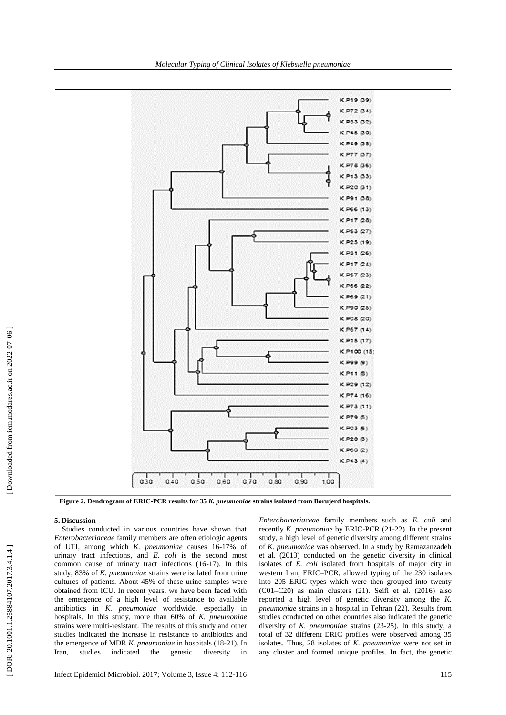

**Figure 2 . Dendrogram of ERIC -PCR results for 35** *K. pneumoniae* **strains isolated from Borujerd hospitals .**

#### **5 . Discussion**

Studies conducted in various countries have shown that *Enterobacteriaceae* family members are often etiologic agent s of UTI , among which *K. pneumoniae* causes 16 -17% of urinary tract infections , and *E. coli* is the second most common cause of urinary tract infections (16 -17). In this study, 83% of *K. pneumoniae* strains were isolated from urine cultures of patients *.* About 45% of these urine samples were obtained from ICU. In recent years, we have been faced with the emergence of a high level of resistance to available antibiotic s in *K. pneumoniae* worldwide *,* especially in hospitals. In this study, more than 60% of *K. pneumoniae*  strains were multi -resistant*.* The results of this study and other studies indicated the increase in resistance to antibiotics and the emergence of MDR *K. pneumoniae* in hospitals (18 -21). In Iran, studies indicated the genetic diversity in

*Enterobacteriaceae* family members such as *E. coli* and recently *K*. *pneumoniae* by ERIC -PCR (21 -22). In the present study, a high level of genetic diversity among different strains of *K. pneumoniae* was observed. In a study by Ramazanzadeh et al . (2013) conducted on the genetic diversity in clinical isolates of *E. coli* isolated from hospitals of major city in western Iran, ERIC –PCR, allowed typing of the 230 isolates into 205 ERIC types which were then grouped into twenty (C01 –C20) as main clusters (21). Seifi et al. (2016) also reported a high level of genetic diversity among the *K. pneumoniae* strains in a hospital in Tehran (22). Results from studies conducted on other countries also indicated the genetic diversity of *K. pneumoniae* strains (23 -25). In this study, a total of 32 different ERIC profiles were observed among 35 isolates. Thus, 28 isolates of *K. pneumoniae* were not set in any cluster and formed unique profile s. In fact, the genetic

DOR: 20.1001.1.25884107.2017.3.4.1.4